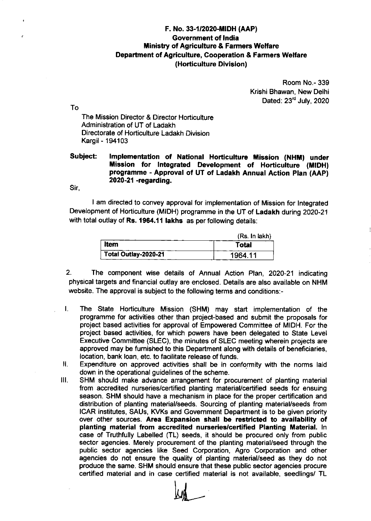## F. No. 33-1/2020-MIDH (AAP) Government of lndia **Ministry of Agriculture & Farmers Welfare** Oepartment of Agriculture, Cooperation & Farmers Welfare (Horticulture Division)

Room No.- 339 Krishi Bhawan, New Delhi Dated:  $23<sup>rd</sup>$  July, 2020

The Mission Director & Director Horticulture Administration of UT of Ladakh Directorate of Horticulture Ladakh Division Kargil - 194103

## Subject: Implementation of National Horticulture Mission (NHM) under Mission for Integrated Development of Horticulture (MIDH) programme - Approval of UT of Ladakh Annual Action plan (AAp) 2020-21 -regarding.

Sir,

To

I am directed to convey approval for implementation of Mission for lntegrated Development of Horticulture (MIDH) programme in the UT of Ladakh during 2020-21 with total outlay of Rs. 1964.11 lakhs as per following details:

|                      | (Rs. In lakh) |
|----------------------|---------------|
| <b>Item</b>          | <b>Total</b>  |
| Total Outlay-2020-21 | 1964.11       |

- 2. The component wise details of Annual Action Plan, 2020-21 indicating physical targets and financial outlay are enclosed. Details are also available on NHM website. The approval is subject to the following terms and conditions:-
- The State Horticulture Mission (SHM) may start implementation of the L. programme for activities other than project-based and submit the proposals for project based aclivities for approval of Empowered Committee of MIDH. For the project based activities, for which powers have been delegated to State Level Executive Committee (SLEC), the minutes of SLEC meeting wherein projects are approved may be fumished to this Department along with details of beneficiaries, location, bank loan, etc. to facilitate release of funds.
- Н. Expenditure on approved activities shall be in conformity with the norms laid down in the operational guidelines of the scheme.
- SHM should make advance arrangement for procurement of planting material from accredited nurseries/certified planting material/certified seeds for ensuing season. SHM should have a mechanism in place for the proper certification and distribution of planting material/seeds. Sourcing of planting material/seeds from ICAR institutes, SAUs, KVKs and Govemment Department is to be given priority over other sources. Area Expansion shall be restricted to availability of planting material from accredited nurseries/certified Planting Material. In case of Truthfully Labelled (TL) seeds, it should be procured only from public sector agencies. Merely procurement of the planting material/seed through the public sector agencies like Seed Corporation, Agro Corporation and other agencies do not ensure the quality of planting material/seed as they do not produce the same. SHM should ensure that these public sector agencies procure certified material and in case certified material is not available, seedlings/ TL ilt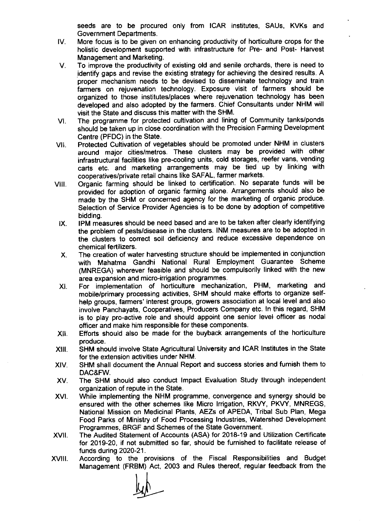seeds are to be procured only from ICAR institutes, SAUs, KVKs and Government Departments.

- IV. More focus is to be given on enhancing productivity of horticulture crops for the holistic development supported with infrastructure for Pre- and Post- Harvest Management and Marketing.
- V. To improve the productivity of existing old and senile orchards, there is need to identify gaps and revise the existing strategy for achieving the desired results. A proper mechanism needs to be devised to disseminate technology and train farmers on rejuvenation technology. Exposure visit of farmers should be organized to those institutes/places where rejuvenation technology has been developed and also adopted by the farmers. Chief Consultants under NHM will visit the State and discuss this matter with the SHM.
- vt. The programme for protected cultivation and lining of Community tanks/ponds should be taken up in close coordination with the Precision Farming Development Centre (PFDC) in the State.
- vil. Protected Cultivation of vegetables should be promoted under NHM in clusters around major cities/metros. These clusters may be provided with other infrastruc{ural facilities like pre-cooling units, cold storages, reefer vans, vending carts etc. and marketing arrangements may be tied up by linking with cooperatives/private retail chains like SAFAL, farmer markets.
- vil. Organic farming should be linked to certification. No separate funds will be provided for adoption of organic farming alone. Arrangements should also be made by the SHM or concerned agency for the marketing of organic produce. Selection of Service Provider Agencies is to be done by adoption of competitive bidding.
- tx. IPM measures should be need based and are to be taken after clearly identifying the problem of pests/disease in the clusters. INM measures are to be adopted in the clusters to correct soil deficiency and reduce excessive dependence on chemical fertilizers.
- x. The creation of water harvesting structure should be implemented in conjunction with Mahatma Gandhi National Rural Employment Guarantee Scheme (MNREGA) wherever feasible and should be compulsorily linked with the new area expansion and micro-irrigation programmes.
- xt. For implementation of horticulture mechanization, PHM, marketing and mobile/primary processing activities, SHM should make efforts to organize selfhelp groups, farmers' interest groups, growers association at local level and also involve Panchayats, Cooperatives, Producers Company etc. ln this regard, SHM is to play pro-active role and should appoint one senior level officer as nodal officer and make him responsible for these components.
- xll. Efforts should also be made for the buyback arrangements of the horticulture produce.
- xilt. SHM should involve State Agricultural University and ICAR lnstitutes in the State for the extension activities under NHM.
- XIV. SHM shall document the Annual Report and success stories and furnish them to DAC&FW.
- XV. The SHM should also conduct lmpact Evaluation Study through independent organization of repute in the State.
- XVI. While implementing the NHM programme, convergence and synergy should be ensured with the other schemes like Micro lrrigation, RKVY, PKVY, MNREGS, National Mission on Medicinal Plants, AEZs of APEDA, Tribal Sub Plan, Mega Food Parks of Ministry of Food Processing lndustries, Watershed Development Programmes, BRGF and Schemes of the State Government.
- xvfl. The Audited Statement of Accounts (ASA) for 2018-19 and Utilization Certificate for 2019-20, if not submitted so far, should be furnished to facilitate release of funds during 2020-21.
- xvil. According to the provisions of the Fiscal Responsibilities and Budget Management (FRBM) Act, 2003 and Rules thereof, regular feedback from the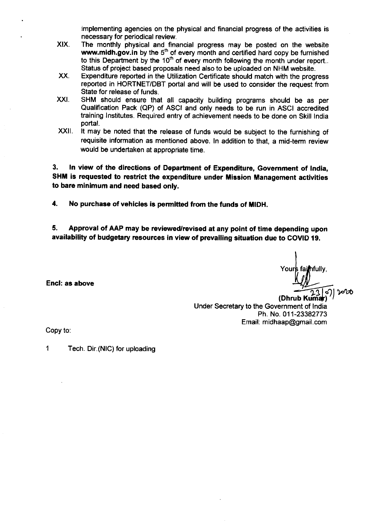implementing agencies on the physical and financial progress of the activities is necessary for periodical review.

- XIX. The monthly physical and financial progress may be posted on the website **www.midh.gov.in** by the 5<sup>th</sup> of every month and certified hard copy be furnished to this Department by the 10<sup>th</sup> of every month following the month under report.. Status of project based proposals need also to be uploaded on NHM website.
- xx. Expenditure reported in the Utilization Certificate should match with the progress reported in HORTNET/DBT portal and will be used to consider the request from State for release of funds.
- xxt SHM should ensure that all capacity building programs should be as per Qualification Pack (QP) of ASCI and only needs to be run in ASCI accredited training lnstitutes. Required entry of achievement needs to be done on Skill lndia portal.
- xxil It may be noted that the release of funds would be subject to the furnishing of requisite information as mentioned above. In addition to that, a mid-term review would be undertaken at appropriate time.

3. ln view of the directions of Department of Expenditure, Government of tndia, SHM is requested to restrict the expenditure under Mission Management activities to bare minimum and need based only.

4. No purchase of vehicles is permitted from the funds of MIDH.

5. Approval of AAP may be reviewed/revised at any point of time depending upon availability of budgetary resources in view of prevailing situation due to COVID 19.

Yours fai**m**fullv, 3 .<br>|<br>|<br>|

(Dhrub Under Secretary to the Government of lndia Ph. No. 011-23382773 Email: midhaap@gmail.com

Copy to

Encl: ae above

1 Tech. Dir.(NlC) for uploading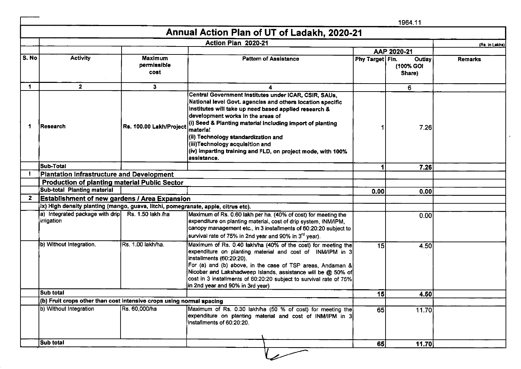|       |                                                                                   |                                | Annual Action Plan of UT of Ladakh, 2020-21                                                                                                                                                                                                                                                                                                                                                                                                        |                 |                               |                |
|-------|-----------------------------------------------------------------------------------|--------------------------------|----------------------------------------------------------------------------------------------------------------------------------------------------------------------------------------------------------------------------------------------------------------------------------------------------------------------------------------------------------------------------------------------------------------------------------------------------|-----------------|-------------------------------|----------------|
|       |                                                                                   |                                | Action Plan 2020-21                                                                                                                                                                                                                                                                                                                                                                                                                                |                 |                               | (Rs. in Lakhs) |
|       |                                                                                   |                                |                                                                                                                                                                                                                                                                                                                                                                                                                                                    | AAP 2020-21     |                               |                |
| S. No | <b>Activity</b>                                                                   | Maximum<br>permissible<br>cost | <b>Pattern of Assistance</b>                                                                                                                                                                                                                                                                                                                                                                                                                       | Phy Target Fin. | Outlay<br>(100% GOI<br>Share) | <b>Remarks</b> |
| 1     | $\overline{\mathbf{z}}$                                                           | 3                              | 4                                                                                                                                                                                                                                                                                                                                                                                                                                                  |                 | 6                             |                |
| -1    | Research                                                                          | Rs. 100.00 Lakh/Project        | Central Government Institutes under ICAR, CSIR, SAUs,<br>National level Govt. agencies and others location specific<br>Institutes will take up need based applied research &<br>development works in the areas of<br>(i) Seed & Planting material including import of planting<br>material<br>(ii) Technology standardization and<br>(iii)Technology acquisition and<br>(iv) imparting training and FLD, on project mode, with 100%<br>assistance. |                 | 7.26                          |                |
|       | Sub-Total                                                                         |                                |                                                                                                                                                                                                                                                                                                                                                                                                                                                    |                 | 7.26                          |                |
|       | Plantation Infrastructure and Development                                         |                                |                                                                                                                                                                                                                                                                                                                                                                                                                                                    |                 |                               |                |
|       | <b>Production of planting material Public Sector</b>                              |                                |                                                                                                                                                                                                                                                                                                                                                                                                                                                    |                 |                               |                |
|       | Sub-total Planting material                                                       |                                |                                                                                                                                                                                                                                                                                                                                                                                                                                                    | 0.00            | 0.00                          |                |
| 2     | <b>Establishment of new gardens / Area Expansion</b>                              |                                |                                                                                                                                                                                                                                                                                                                                                                                                                                                    |                 |                               |                |
|       | ix) High density planting (mango, guava, litchi, pomegranate, apple, citrus etc). |                                |                                                                                                                                                                                                                                                                                                                                                                                                                                                    |                 |                               |                |
|       | a) Integrated package with drip Rs. 1.50 lakh /ha<br>lirrigation                  |                                | Maximum of Rs. 0.60 lakh per ha. (40% of cost) for meeting the<br>expenditure on planting material, cost of drip system, INM/IPM,<br>canopy management etc., in 3 installments of 60:20:20 subject to<br>survival rate of 75% in 2nd year and 90% in 3 <sup>rd</sup> year).                                                                                                                                                                        |                 | 0.00                          |                |
|       | b) Without Integration.                                                           | ÌRs. 1.00 lakh/ha.             | Maximum of Rs. 0.40 lakh/ha (40% of the cost) for meeting the<br>expenditure on planting material and cost of INM/IPM in 3<br>installments (60:20:20).<br>[For (a) and (b) above, in the case of TSP areas, Andaman &<br>Nicobar and Lakshadweep Islands, assistance will be @ 50% of<br>$\left[ \text{cost in 3 installments of 60:20:20 subject to survival rate of 75\%}\right]$<br>in 2nd year and 90% in 3rd year)                            | 15              | 4.50                          |                |
|       | <b>Sub total</b>                                                                  |                                |                                                                                                                                                                                                                                                                                                                                                                                                                                                    | 15              | 4.50                          |                |
|       | (b) Fruit crops other than cost intensive crops using normal spacing              |                                |                                                                                                                                                                                                                                                                                                                                                                                                                                                    |                 |                               |                |
|       | b) Without Integration                                                            | Rs. 60,000/ha                  | Maximum of Rs. 0.30 lakh/ha (50 % of cost) for meeting the<br>expenditure on planting material and cost of INM/IPM in 3<br>installments of 60:20:20.                                                                                                                                                                                                                                                                                               | 65              | 11.70                         |                |
|       | Sub total                                                                         |                                |                                                                                                                                                                                                                                                                                                                                                                                                                                                    | 65              | 11.70                         |                |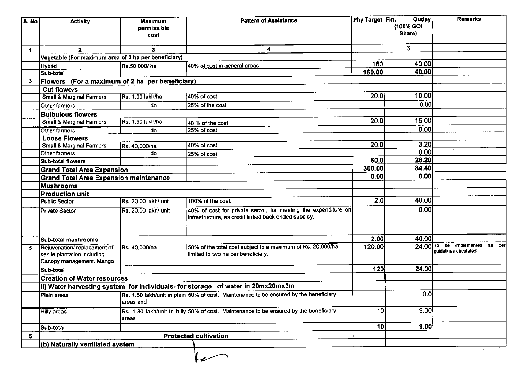| S. No | <b>Activity</b>                                                                        | <b>Maximum</b><br>permissible | <b>Pattern of Assistance</b>                                                                                           | Phy Target Fin. | Outlay<br>(100% GOI | <b>Remarks</b>                                                        |
|-------|----------------------------------------------------------------------------------------|-------------------------------|------------------------------------------------------------------------------------------------------------------------|-----------------|---------------------|-----------------------------------------------------------------------|
|       |                                                                                        | cost                          |                                                                                                                        |                 | Share)              |                                                                       |
| 1     | $\mathbf{2}$                                                                           | 3                             | 4                                                                                                                      |                 | 6                   |                                                                       |
|       | Vegetable (For maximum area of 2 ha per beneficiary)                                   |                               |                                                                                                                        |                 |                     |                                                                       |
|       | <b>Hybrid</b>                                                                          | Rs.50,000/ha                  | 40% of cost in general areas                                                                                           | 160             | 40.00               |                                                                       |
|       | Sub-total                                                                              |                               |                                                                                                                        | 160.00          | 40.00               |                                                                       |
| 3     | Flowers (For a maximum of 2 ha per beneficiary)                                        |                               |                                                                                                                        |                 |                     |                                                                       |
|       | <b>Cut flowers</b>                                                                     |                               |                                                                                                                        |                 |                     |                                                                       |
|       | <b>Small &amp; Marginal Farmers</b>                                                    | Rs. 1.00 lakh/ha              | 40% of cost                                                                                                            | 20.0            | 10.00               |                                                                       |
|       | Other farmers                                                                          | do                            | 25% of the cost                                                                                                        |                 | 0.00                |                                                                       |
|       | <b>Bulbulous flowers</b>                                                               |                               |                                                                                                                        |                 |                     |                                                                       |
|       | <b>Small &amp; Marginal Farmers</b>                                                    | Rs. 1.50 lakh/ha              | 40 % of the cost                                                                                                       | 20.0            | 15.00               |                                                                       |
|       | Other farmers                                                                          | do                            | 25% of cost                                                                                                            |                 | 0.00                |                                                                       |
|       | <b>Loose Flowers</b>                                                                   |                               |                                                                                                                        |                 |                     |                                                                       |
|       | <b>Small &amp; Marginal Farmers</b>                                                    | Rs. 40,000/ha                 | 40% of cost                                                                                                            | 20.0            | 3.20                |                                                                       |
|       | Other farmers                                                                          | do                            | 25% of cost                                                                                                            |                 | 0.00                |                                                                       |
|       | <b>Sub-total flowers</b>                                                               |                               |                                                                                                                        | 60.0            | 28.20               |                                                                       |
|       | <b>Grand Total Area Expansion</b>                                                      |                               |                                                                                                                        | 300.00          | 84.40               |                                                                       |
|       | <b>Grand Total Area Expansion maintenance</b>                                          |                               |                                                                                                                        | 0.00            | 0.00                |                                                                       |
|       | <b>Mushrooms</b>                                                                       |                               |                                                                                                                        |                 |                     |                                                                       |
|       | <b>Production unit</b>                                                                 |                               |                                                                                                                        |                 |                     |                                                                       |
|       | <b>Public Sector</b>                                                                   | Rs. 20.00 lakh/ unit          | 100% of the cost.                                                                                                      | 2.0             | 40.00               |                                                                       |
|       | <b>Private Sector</b>                                                                  | Rs. 20.00 lakh/ unit          | 40% of cost for private sector, for meeting the expenditure on<br>infrastructure, as credit linked back ended subsidy. |                 | 0.00                |                                                                       |
|       | Sub-total mushrooms                                                                    |                               |                                                                                                                        | 2.00            | 40.00               |                                                                       |
| 5     | Rejuvenation/replacement of<br>senile plantation including<br>Canopy management. Mango | Rs. 40,000/ha                 | 50% of the total cost subject to a maximum of Rs. 20,000/ha<br>limited to two ha per beneficiary.                      | 120.00          |                     | 24.00 <sup>To</sup> be implemented<br>as per<br>quidelines circulated |
|       | Sub-total                                                                              |                               |                                                                                                                        | 120             | 24.00               |                                                                       |
|       | <b>Creation of Water resources</b>                                                     |                               |                                                                                                                        |                 |                     |                                                                       |
|       |                                                                                        |                               | ii) Water harvesting system  for individuals- for storage   of water in 20mx20mx3m                                     |                 |                     |                                                                       |
|       | Plain areas                                                                            | areas and                     | Rs. 1.50 lakh/unit in plain 50% of cost. Maintenance to be ensured by the beneficiary.                                 |                 | $\overline{0.0}$    |                                                                       |
|       | <b>Hilly areas</b>                                                                     | areas                         | Rs. 1.80 lakh/unit in hilly 50% of cost. Maintenance to be ensured by the beneficiary.                                 | 10 <sub>l</sub> | 9.00                |                                                                       |
|       | Sub-total                                                                              |                               |                                                                                                                        | 10 <sup>1</sup> | 9.00                |                                                                       |
| 5     | <b>Protected cultivation</b>                                                           |                               |                                                                                                                        |                 |                     |                                                                       |
|       | (b) Naturally ventilated system                                                        |                               |                                                                                                                        |                 |                     |                                                                       |
|       |                                                                                        |                               |                                                                                                                        |                 |                     |                                                                       |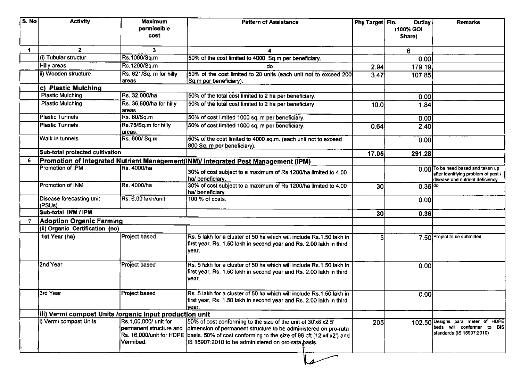| S. No | <b>Activity</b>                                         | <b>Maximum</b><br>permissible<br>cost                         | <b>Pattern of Assistance</b>                                                                                                                                                                                                                                                             | Phy Target Fin. | Outlay<br>(100% GOI<br>Share) | <b>Remarks</b>                                                                                                |
|-------|---------------------------------------------------------|---------------------------------------------------------------|------------------------------------------------------------------------------------------------------------------------------------------------------------------------------------------------------------------------------------------------------------------------------------------|-----------------|-------------------------------|---------------------------------------------------------------------------------------------------------------|
| 1     | $\overline{2}$                                          | 3                                                             | 4                                                                                                                                                                                                                                                                                        |                 | 6                             |                                                                                                               |
|       | (i) Tubular structur                                    | Rs.1060/Sq.m                                                  | 50% of the cost limited to 4000 Sq.m per beneficiary.                                                                                                                                                                                                                                    |                 | 0.00                          |                                                                                                               |
|       | Hilly areas.                                            | Rs.1290/Sq.m                                                  | do                                                                                                                                                                                                                                                                                       | 2.94            | 179.19                        |                                                                                                               |
|       | ii) Wooden structure                                    | Rs. 621/Sq. m for hilly<br>areas                              | 50% of the cost limited to 20 units (each unit not to exceed 200<br>Sq.m per beneficiary).                                                                                                                                                                                               | 3.47            | 107.85                        |                                                                                                               |
|       | c) Plastic Mulching                                     |                                                               |                                                                                                                                                                                                                                                                                          |                 |                               |                                                                                                               |
|       | <b>Plastic Mulching</b>                                 | Rs. 32,000/ha                                                 | 50% of the total cost limited to 2 ha per beneficiary.                                                                                                                                                                                                                                   |                 | 0.00                          |                                                                                                               |
|       | <b>Plastic Mulching</b>                                 | Rs. 36,800/ha for hilly<br>areas                              | 50% of the total cost limited to 2 ha per beneficiary.                                                                                                                                                                                                                                   | 10.0            | 1.84                          |                                                                                                               |
|       | <b>Plastic Tunnels</b>                                  | Rs. 60/Sq.m                                                   | 50% of cost limited 1000 sq. m per beneficiary.                                                                                                                                                                                                                                          |                 | 0.00                          |                                                                                                               |
|       | <b>Plastic Tunnels</b>                                  | Rs.75/Sq.m for hilly<br>areas.                                | 50% of cost limited 1000 sq. m per beneficiary.                                                                                                                                                                                                                                          | 0.64            | 2.40                          |                                                                                                               |
|       | Walk in tunnels                                         | Rs. 600/ Sq.m                                                 | 50% of the cost limited to 4000 sq.m. (each unit not to exceed<br>800 Sq. m per beneficiary).                                                                                                                                                                                            |                 | 0.00                          |                                                                                                               |
|       | Sub-total protected cultivation                         |                                                               |                                                                                                                                                                                                                                                                                          | 17.05           | 291.28                        |                                                                                                               |
|       |                                                         |                                                               | Promotion of Integrated Nutrient Management(INM)/ Integrated Pest Management (IPM)                                                                                                                                                                                                       |                 |                               |                                                                                                               |
|       | Promotion of IPM                                        | Rs. 4000/ha                                                   | 30% of cost subject to a maximum of Rs 1200/ha limited to 4.00<br>ha/ beneficiary.                                                                                                                                                                                                       |                 |                               | 0.00 To be need based and taken up<br>after identifying problem of pest /<br>disease and nutrient deficiency. |
|       | <b>Promotion of INM</b>                                 | Rs. 4000/ha                                                   | 30% of cost subject to a maximum of Rs 1200/ha limited to 4.00<br>ha/beneficiary.                                                                                                                                                                                                        | 30 <sub>l</sub> | $0.36 ^{d}$                   |                                                                                                               |
|       | Disease forecasting unit<br>(PSUs)                      | Rs. 6.00 lakh/unit                                            | 100 % of costs.                                                                                                                                                                                                                                                                          |                 | 0.00                          |                                                                                                               |
|       | Sub-total INM / IPM                                     |                                                               |                                                                                                                                                                                                                                                                                          | 30 <sub>l</sub> | 0.36                          |                                                                                                               |
|       | <b>Adoption Organic Farming</b>                         |                                                               |                                                                                                                                                                                                                                                                                          |                 |                               |                                                                                                               |
|       | (ii) Organic Certification (no)                         |                                                               |                                                                                                                                                                                                                                                                                          |                 |                               |                                                                                                               |
|       | 1st Year (ha)                                           | Project based                                                 | Rs. 5 lakh for a cluster of 50 ha which will include Rs. 1.50 lakh in<br>first year, Rs. 1.50 lakh in second year and Rs. 2.00 lakh in third<br>year.                                                                                                                                    | 51              |                               | 7.50 Project to be submitted                                                                                  |
|       | 2nd Year                                                | Project based                                                 | Rs. 5 lakh for a cluster of 50 ha which will include Rs.1.50 lakh in<br>first year, Rs. 1.50 lakh in second year and Rs. 2.00 lakh in third<br>year.                                                                                                                                     |                 | 0.00                          |                                                                                                               |
|       | 3rd Year                                                | <b>Project based</b>                                          | Rs. 5 lakh for a cluster of 50 ha which will include Rs.1.50 lakh in<br>first year, Rs. 1.50 lakh in second year and Rs. 2.00 lakh in third<br>vear.                                                                                                                                     |                 | 0.00                          |                                                                                                               |
|       | iii) Vermi compost Units /organic input production unit |                                                               |                                                                                                                                                                                                                                                                                          |                 |                               |                                                                                                               |
|       | i) Vermi compost Units                                  | Rs.1.00.000/ unit for<br>permanent structure and<br>Vermibed. | 50% of cost conforming to the size of the unit of 30'x8'x2.5'<br>dimension of permanent structure to be administered on pro-rata<br>Rs. 16,000/unit for HDPE [basis. 50% of cost conforming to the size of 96 cft (12'x4'x2') and<br>IS 15907:2010 to be administered on pro-rata basis. | 205             |                               | 102.50 Designs para meter of HDPE<br>beds will conformer to BIS<br>standards (IS 15907:2010)                  |
|       |                                                         |                                                               |                                                                                                                                                                                                                                                                                          |                 |                               |                                                                                                               |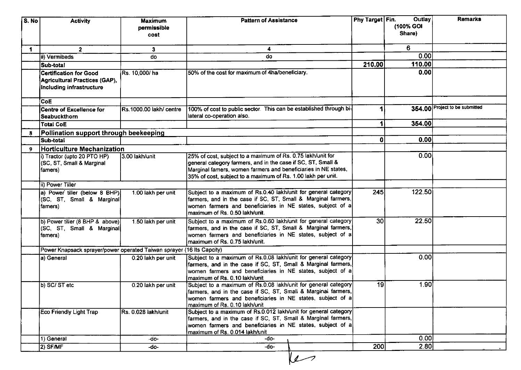| S. No                | <b>Activity</b>                                                                            | <b>Maximum</b><br>permissible<br>cost | <b>Pattern of Assistance</b>                                                                                                                                                                                                                                  | Phy Target Fin. | Outlay<br>(100% GOI<br>Share) | <b>Remarks</b>                 |
|----------------------|--------------------------------------------------------------------------------------------|---------------------------------------|---------------------------------------------------------------------------------------------------------------------------------------------------------------------------------------------------------------------------------------------------------------|-----------------|-------------------------------|--------------------------------|
| $\blacktriangleleft$ | $\overline{2}$                                                                             | 3                                     | 4                                                                                                                                                                                                                                                             |                 | 6                             |                                |
|                      | iii) Vermibeds                                                                             | do                                    | do                                                                                                                                                                                                                                                            |                 | 0.00                          |                                |
|                      | Sub-total                                                                                  |                                       |                                                                                                                                                                                                                                                               | 210.00          | 110.00                        |                                |
|                      | <b>Certification for Good</b><br>Agricultural Practices (GAP),<br>Including infrastructure | Rs. 10,000/ha                         | 50% of the cost for maximum of 4ha/beneficiary.                                                                                                                                                                                                               |                 | 0.00                          |                                |
|                      | CoE                                                                                        |                                       |                                                                                                                                                                                                                                                               |                 |                               |                                |
|                      | <b>Centre of Excellence for</b><br>Seabuckthorn                                            | Rs.1000.00 lakh/ centre               | 100% of cost to public sector. This can be established through bi-<br>lateral co-operation also.                                                                                                                                                              |                 |                               | 354.00 Project to be submitted |
|                      | <b>Total CoE</b>                                                                           |                                       |                                                                                                                                                                                                                                                               |                 | 354.00                        |                                |
| 8                    | Pollination support through beekeeping                                                     |                                       |                                                                                                                                                                                                                                                               |                 |                               |                                |
|                      | Sub-total                                                                                  |                                       |                                                                                                                                                                                                                                                               | 0               | 0.00                          |                                |
| 9                    | Horticulture Mechanization                                                                 |                                       |                                                                                                                                                                                                                                                               |                 |                               |                                |
|                      | i) Tractor (upto 20 PTO HP)<br>(SC, ST, Small & Marginal<br>famers)                        | 3.00 lakh/unit                        | 25% of cost, subject to a maximum of Rs. 0.75 lakh/unit for<br>general category farmers, and in the case if SC, ST, Small &<br>Marginal famers, women farmers and beneficiaries in NE states,<br>35% of cost, subject to a maximum of Rs. 1.00 lakh per unit. |                 | 0.00                          |                                |
|                      | ii) Power Tiller                                                                           |                                       |                                                                                                                                                                                                                                                               |                 |                               |                                |
|                      | a) Power tiller (below 8 BHP)<br>(SC, ST, Small & Marginal)<br>famers)                     | 1.00 lakh per unit                    | Subject to a maximum of Rs.0.40 lakh/unit for general category<br>farmers, and in the case if SC, ST, Small & Marginal farmers,<br>women farmers and beneficiaries in NE states, subject of a<br>maximum of Rs. 0.50 lakh/unit.                               | 245             | 122.50                        |                                |
|                      | b) Power tiller (8 BHP & above)<br>(SC, ST, Small & Marginal<br>famers)                    | 1.50 lakh per unit                    | Subject to a maximum of Rs.0.60 lakh/unit for general category<br>farmers, and in the case if SC, ST, Small & Marginal farmers,<br>women farmers and beneficiaries in NE states, subject of a<br>maximum of Rs. 0.75 lakh/unit.                               | 30 <sup>°</sup> | 22.50                         |                                |
|                      | Power Knapsack sprayer/power operated Taiwan sprayer (16 lts Capcity)                      |                                       |                                                                                                                                                                                                                                                               |                 |                               |                                |
|                      | a) General                                                                                 | 0.20 lakh per unit                    | Subject to a maximum of Rs.0.08 lakh/unit for general category<br>farmers, and in the case if SC, ST, Small & Marginal farmers,<br>women farmers and beneficiaries in NE states, subject of a<br>maximum of Rs. 0.10 lakh/unit                                |                 | 0.00                          |                                |
|                      | b) SC/ST etc                                                                               | 0.20 lakh per unit                    | Subject to a maximum of Rs.0.08 lakh/unit for general category<br>farmers, and in the case if SC, ST, Small & Marginal farmers,<br>women farmers and beneficiaries in NE states, subject of a<br>maximum of Rs. 0.10 lakh/unit                                | 19 <sup>1</sup> | 1.90                          |                                |
|                      | <b>Eco Friendly Light Trap</b>                                                             | Rs. 0.028 lakh/unit                   | Subject to a maximum of Rs.0.012 lakh/unit for general category<br>farmers, and in the case if SC, ST, Small & Marginal farmers,<br>women farmers and beneficiaries in NE states, subject of a<br>maximum of Rs. 0.014 lakh/unit                              |                 |                               |                                |
|                      | 1) General                                                                                 | -do-                                  | -do-                                                                                                                                                                                                                                                          |                 | 0.00                          |                                |
|                      | 2) SF/MF                                                                                   | -do-                                  | -do-                                                                                                                                                                                                                                                          | 200             | 2.80                          |                                |

 $\sqrt{2}$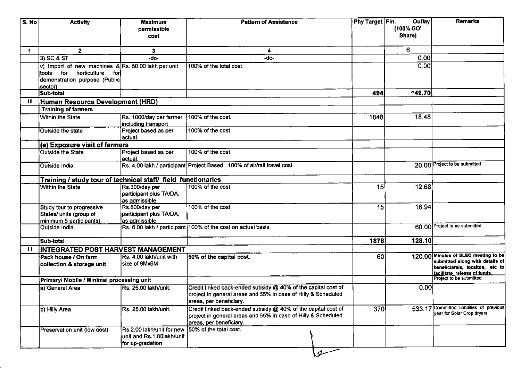| S. No                | <b>Activity</b>                                                                                                               | <b>Maximum</b><br>permissible<br>cost                                      | <b>Pattern of Assistance</b>                                                                                                                              | Phy Target Fin. | Outlay<br>(100% GOI<br>Share) | <b>Remarks</b>                                                                                                                             |
|----------------------|-------------------------------------------------------------------------------------------------------------------------------|----------------------------------------------------------------------------|-----------------------------------------------------------------------------------------------------------------------------------------------------------|-----------------|-------------------------------|--------------------------------------------------------------------------------------------------------------------------------------------|
| $\blacktriangleleft$ | $\mathbf{2}$                                                                                                                  | 3                                                                          | 4                                                                                                                                                         |                 | 6                             |                                                                                                                                            |
|                      | $3)$ SC & ST                                                                                                                  | -do-                                                                       | -do-                                                                                                                                                      |                 | 0.00                          |                                                                                                                                            |
|                      | v) Import of new machines & Rs. 50.00 lakh per unit<br>tools for horticulture for<br>demonstration purpose (Public<br>sector) |                                                                            | 100% of the total cost.                                                                                                                                   |                 | 0.00                          |                                                                                                                                            |
|                      | lSub-total                                                                                                                    |                                                                            |                                                                                                                                                           | 494             | 149.70                        |                                                                                                                                            |
| 10                   | Human Resource Development (HRD)                                                                                              |                                                                            |                                                                                                                                                           |                 |                               |                                                                                                                                            |
|                      | <b>Training of farmers</b>                                                                                                    |                                                                            |                                                                                                                                                           |                 |                               |                                                                                                                                            |
|                      | Within the State                                                                                                              | Rs. 1000/day per farmer<br>including transport                             | 100% of the cost.                                                                                                                                         | 1848            | 18.48                         |                                                                                                                                            |
|                      | Outside the state                                                                                                             | Project based as per<br>lactual.                                           | 100% of the cost.                                                                                                                                         |                 |                               |                                                                                                                                            |
|                      | (e) Exposure visit of farmers                                                                                                 |                                                                            |                                                                                                                                                           |                 |                               |                                                                                                                                            |
|                      | <b>Outside the State</b>                                                                                                      | Project based as per<br>lactual.                                           | 100% of the cost.                                                                                                                                         |                 |                               |                                                                                                                                            |
|                      | Outside India                                                                                                                 |                                                                            | Rs. 4.00 lakh / participant Project Based. 100% of air/rail travel cost.                                                                                  |                 |                               | 20.00 Project to be submitted                                                                                                              |
|                      | Training / study tour of technical staff/ field functionaries                                                                 |                                                                            |                                                                                                                                                           |                 |                               |                                                                                                                                            |
|                      | <b>Within the State</b>                                                                                                       | Rs.300/day per<br>participant plus TA/DA,<br>as admissible                 | 100% of the cost.                                                                                                                                         | 15              | 12.68                         |                                                                                                                                            |
|                      | Study tour to progressive<br>States/ units (group of<br>minimum 5 participants)                                               | Rs.800/day per<br>participant plus TA/DA,<br>as admissible                 | 100% of the cost.                                                                                                                                         | 15              | 16.94                         |                                                                                                                                            |
|                      | Outside India                                                                                                                 |                                                                            | Rs. 6.00 lakh / participant 100% of the cost on actual basis.                                                                                             |                 |                               | 60.00 Project to be submitted                                                                                                              |
|                      | Sub-total                                                                                                                     |                                                                            |                                                                                                                                                           | 1878            | 128.10                        |                                                                                                                                            |
| 11                   | INTEGRATED POST HARVEST MANAGEMENT                                                                                            |                                                                            |                                                                                                                                                           |                 |                               |                                                                                                                                            |
|                      | Pack house / On farm<br>collection & storage unit                                                                             | Rs. 4.00 lakh/unit with<br>size of 9Mx6M                                   | 50% of the capital cost.                                                                                                                                  | 60              |                               | 120.00 Minutes of SLEC meeting to be<br>submitted along with details of<br>beneficiareis, locaiton, etc to<br>facilitate release of funds. |
|                      | Primary/ Mobile / Minimal processing unit                                                                                     |                                                                            |                                                                                                                                                           |                 |                               | Project to be submitted                                                                                                                    |
|                      | a) General Area                                                                                                               | Rs. 25.00 lakh/unit.                                                       | Credit linked back-ended subsidy @ 40% of the capital cost of<br>project in general areas and 55% in case of Hilly & Scheduled<br>areas, per beneficiary. |                 | 0.00                          |                                                                                                                                            |
|                      | b) Hilly Area                                                                                                                 | Rs. 25.00 lakh/unit.                                                       | Credit linked back-ended subsidy @ 40% of the capital cost of<br>project in general areas and 55% in case of Hilly & Scheduled<br>areas, per beneficiary. | 370             |                               | 533.17 Committed liabilities of previous<br>year for Solar Crop dryers                                                                     |
|                      | Preservation unit (low cost)                                                                                                  | Rs.2.00 lakh/unit for new<br>unit and Rs.1.00lakh/unit<br>for up-gradation | 150% of the total cost.                                                                                                                                   |                 |                               |                                                                                                                                            |